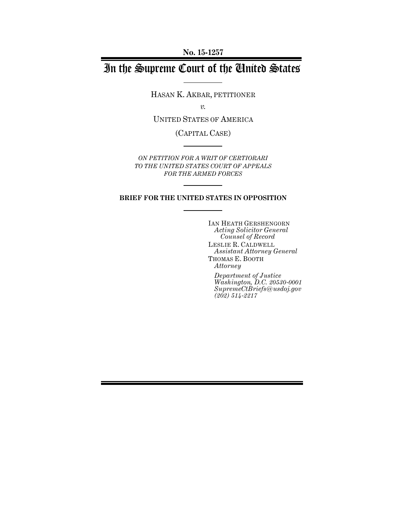**No. 15-1257**

# In the Supreme Court of the United States

HASAN K. AKBAR, PETITIONER

*v.*

UNITED STATES OF AMERICA

(CAPITAL CASE)

*ON PETITION FOR A WRIT OF CERTIORARI TO THE UNITED STATES COURT OF APPEALS FOR THE ARMED FORCES*

### **BRIEF FOR THE UNITED STATES IN OPPOSITION**

IAN HEATH GERSHENGORN *Acting Solicitor General Counsel of Record* LESLIE R. CALDWELL *Assistant Attorney General* THOMAS E. BOOTH *Attorney*

*Department of Justice Washington, D.C. 20530-0001 SupremeCtBriefs@usdoj.gov (202) 514-2217*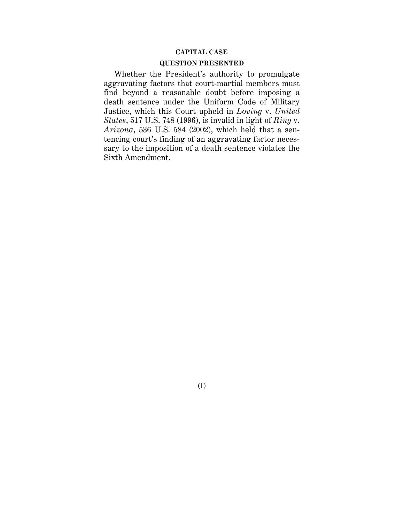### **CAPITAL CASE**

### **QUESTION PRESENTED**

Whether the President's authority to promulgate aggravating factors that court-martial members must find beyond a reasonable doubt before imposing a death sentence under the Uniform Code of Military Justice, which this Court upheld in *Loving* v. *United States*, 517 U.S. 748 (1996), is invalid in light of *Ring* v. *Arizona*, 536 U.S. 584 (2002), which held that a sentencing court's finding of an aggravating factor necessary to the imposition of a death sentence violates the Sixth Amendment.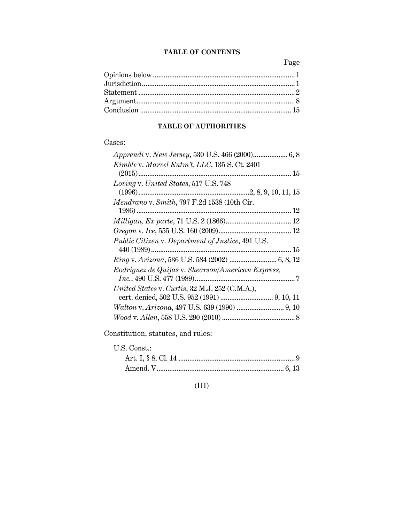## **TABLE OF CONTENTS**

Page

### **TABLE OF AUTHORITIES**

## Cases:

| Kimble v. Marvel Entm't, LLC, 135 S. Ct. 2401     |
|---------------------------------------------------|
|                                                   |
| Loving v. United States, 517 U.S. 748             |
|                                                   |
| Mendrano v. Smith, 797 F.2d 1538 (10th Cir.       |
|                                                   |
|                                                   |
|                                                   |
| Public Citizen v. Department of Justice, 491 U.S. |
|                                                   |
| Ring v. Arizona, 536 U.S. 584 (2002)  6, 8, 12    |
| Rodriguez de Quijas v. Shearson/American Express, |
|                                                   |
| United States v. Curtis, 32 M.J. 252 (C.M.A.),    |
|                                                   |
|                                                   |
|                                                   |
|                                                   |

Constitution, statutes, and rules:

U.S. Const.:

## (III)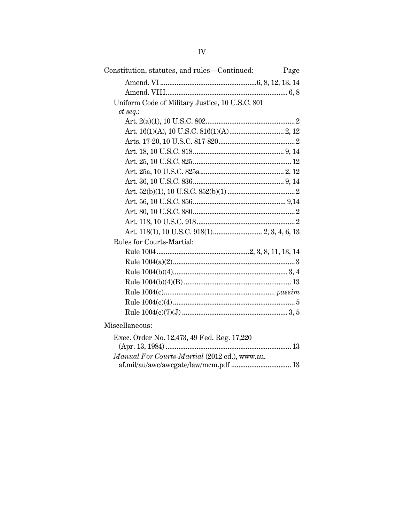| Constitution, statutes, and rules—Continued:    | Page |
|-------------------------------------------------|------|
|                                                 |      |
|                                                 |      |
| Uniform Code of Military Justice, 10 U.S.C. 801 |      |
| et seq.:                                        |      |
|                                                 |      |
|                                                 |      |
|                                                 |      |
|                                                 |      |
|                                                 |      |
|                                                 |      |
|                                                 |      |
|                                                 |      |
|                                                 |      |
|                                                 |      |
|                                                 |      |
|                                                 |      |
| Rules for Courts-Martial:                       |      |
|                                                 |      |
|                                                 |      |
|                                                 |      |
|                                                 |      |
|                                                 |      |
|                                                 |      |
|                                                 |      |
| Miscellaneous:                                  |      |
| Exec. Order No. 12,473, 49 Fed. Reg. 17,220     |      |
|                                                 |      |
| Manual For Courts-Martial (2012 ed.), www.au.   |      |
|                                                 |      |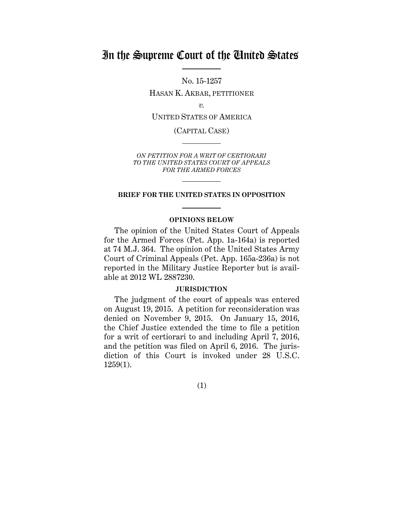## In the Supreme Court of the United States

No. 15-1257

HASAN K. AKBAR, PETITIONER

*v.*

UNITED STATES OF AMERICA

(CAPITAL CASE)

*ON PETITION FOR A WRIT OF CERTIORARI TO THE UNITED STATES COURT OF APPEALS FOR THE ARMED FORCES*

### **BRIEF FOR THE UNITED STATES IN OPPOSITION**

### **OPINIONS BELOW**

The opinion of the United States Court of Appeals for the Armed Forces (Pet. App. 1a-164a) is reported at 74 M.J. 364. The opinion of the United States Army Court of Criminal Appeals (Pet. App. 165a-236a) is not reported in the Military Justice Reporter but is available at 2012 WL 2887230.

### **JURISDICTION**

The judgment of the court of appeals was entered on August 19, 2015. A petition for reconsideration was denied on November 9, 2015. On January 15, 2016, the Chief Justice extended the time to file a petition for a writ of certiorari to and including April 7, 2016, and the petition was filed on April 6, 2016. The jurisdiction of this Court is invoked under 28 U.S.C. 1259(1).

(1)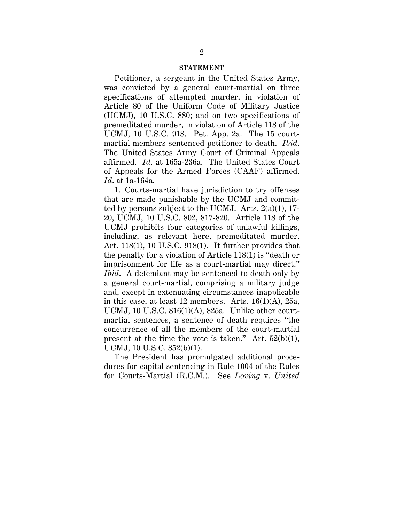### **STATEMENT**

Petitioner, a sergeant in the United States Army, was convicted by a general court-martial on three specifications of attempted murder, in violation of Article 80 of the Uniform Code of Military Justice (UCMJ), 10 U.S.C. 880; and on two specifications of premeditated murder, in violation of Article 118 of the UCMJ, 10 U.S.C. 918. Pet. App. 2a. The 15 courtmartial members sentenced petitioner to death. *Ibid*. The United States Army Court of Criminal Appeals affirmed. *Id*. at 165a-236a. The United States Court of Appeals for the Armed Forces (CAAF) affirmed. *Id*. at 1a-164a.

1. Courts-martial have jurisdiction to try offenses that are made punishable by the UCMJ and committed by persons subject to the UCMJ. Arts.  $2(a)(1)$ , 17-20, UCMJ, 10 U.S.C. 802, 817-820. Article 118 of the UCMJ prohibits four categories of unlawful killings, including, as relevant here, premeditated murder. Art. 118(1), 10 U.S.C. 918(1). It further provides that the penalty for a violation of Article 118(1) is "death or imprisonment for life as a court-martial may direct." *Ibid*. A defendant may be sentenced to death only by a general court-martial, comprising a military judge and, except in extenuating circumstances inapplicable in this case, at least 12 members. Arts.  $16(1)(A)$ ,  $25a$ , UCMJ, 10 U.S.C.  $816(1)(A)$ ,  $825a$ . Unlike other courtmartial sentences, a sentence of death requires "the concurrence of all the members of the court-martial present at the time the vote is taken." Art.  $52(b)(1)$ , UCMJ, 10 U.S.C. 852(b)(1).

The President has promulgated additional procedures for capital sentencing in Rule 1004 of the Rules for Courts-Martial (R.C.M.). See *Loving* v. *United*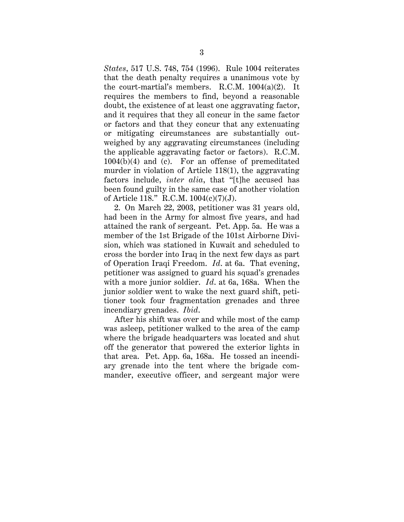*States*, 517 U.S. 748, 754 (1996). Rule 1004 reiterates that the death penalty requires a unanimous vote by the court-martial's members. R.C.M. 1004(a)(2). It requires the members to find, beyond a reasonable doubt, the existence of at least one aggravating factor, and it requires that they all concur in the same factor or factors and that they concur that any extenuating or mitigating circumstances are substantially outweighed by any aggravating circumstances (including the applicable aggravating factor or factors). R.C.M. 1004(b)(4) and (c). For an offense of premeditated murder in violation of Article 118(1), the aggravating factors include, *inter alia*, that "[t]he accused has been found guilty in the same case of another violation of Article 118." R.C.M. 1004(c)(7)(J).

2. On March 22, 2003, petitioner was 31 years old, had been in the Army for almost five years, and had attained the rank of sergeant. Pet. App. 5a. He was a member of the 1st Brigade of the 101st Airborne Division, which was stationed in Kuwait and scheduled to cross the border into Iraq in the next few days as part of Operation Iraqi Freedom. *Id*. at 6a. That evening, petitioner was assigned to guard his squad's grenades with a more junior soldier. *Id*. at 6a, 168a. When the junior soldier went to wake the next guard shift, petitioner took four fragmentation grenades and three incendiary grenades. *Ibid*.

After his shift was over and while most of the camp was asleep, petitioner walked to the area of the camp where the brigade headquarters was located and shut off the generator that powered the exterior lights in that area. Pet. App. 6a, 168a. He tossed an incendiary grenade into the tent where the brigade commander, executive officer, and sergeant major were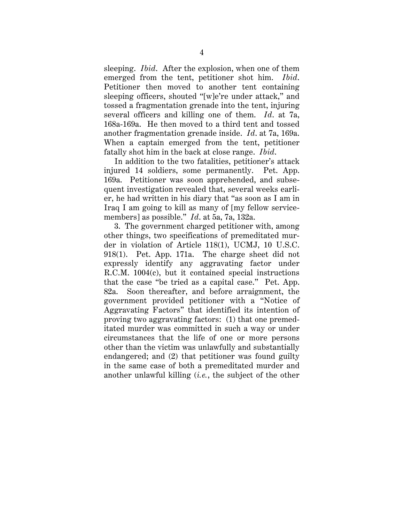sleeping. *Ibid*. After the explosion, when one of them emerged from the tent, petitioner shot him. *Ibid*. Petitioner then moved to another tent containing sleeping officers, shouted "[w]e're under attack," and tossed a fragmentation grenade into the tent, injuring several officers and killing one of them. *Id*. at 7a, 168a-169a. He then moved to a third tent and tossed another fragmentation grenade inside. *Id*. at 7a, 169a. When a captain emerged from the tent, petitioner fatally shot him in the back at close range. *Ibid*.

In addition to the two fatalities, petitioner's attack injured 14 soldiers, some permanently. Pet. App. 169a. Petitioner was soon apprehended, and subsequent investigation revealed that, several weeks earlier, he had written in his diary that "as soon as I am in Iraq I am going to kill as many of [my fellow servicemembers] as possible." *Id*. at 5a, 7a, 132a.

3. The government charged petitioner with, among other things, two specifications of premeditated murder in violation of Article 118(1), UCMJ, 10 U.S.C. 918(1). Pet. App. 171a. The charge sheet did not expressly identify any aggravating factor under R.C.M. 1004(c), but it contained special instructions that the case "be tried as a capital case." Pet. App. 82a. Soon thereafter, and before arraignment, the government provided petitioner with a "Notice of Aggravating Factors" that identified its intention of proving two aggravating factors: (1) that one premeditated murder was committed in such a way or under circumstances that the life of one or more persons other than the victim was unlawfully and substantially endangered; and (2) that petitioner was found guilty in the same case of both a premeditated murder and another unlawful killing (*i.e.*, the subject of the other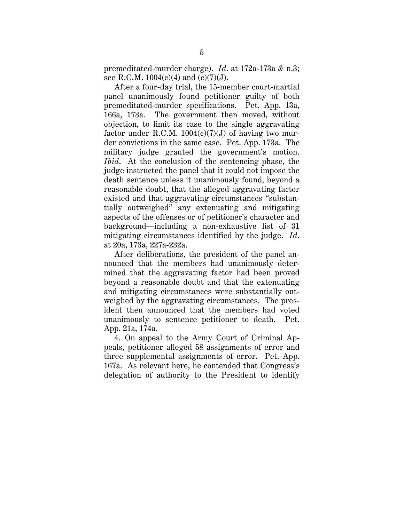premeditated-murder charge). *Id*. at 172a-173a & n.3; see R.C.M.  $1004(c)(4)$  and  $(c)(7)(J)$ .

After a four-day trial, the 15-member court-martial panel unanimously found petitioner guilty of both premeditated-murder specifications. Pet. App. 13a, 166a, 173a. The government then moved, without objection, to limit its case to the single aggravating factor under R.C.M.  $1004(c)(7)(J)$  of having two murder convictions in the same case. Pet. App. 173a. The military judge granted the government's motion. *Ibid.* At the conclusion of the sentencing phase, the judge instructed the panel that it could not impose the death sentence unless it unanimously found, beyond a reasonable doubt, that the alleged aggravating factor existed and that aggravating circumstances "substantially outweighed" any extenuating and mitigating aspects of the offenses or of petitioner's character and background—including a non-exhaustive list of 31 mitigating circumstances identified by the judge. *Id*. at 20a, 173a, 227a-232a.

After deliberations, the president of the panel announced that the members had unanimously determined that the aggravating factor had been proved beyond a reasonable doubt and that the extenuating and mitigating circumstances were substantially outweighed by the aggravating circumstances. The president then announced that the members had voted unanimously to sentence petitioner to death. Pet. App. 21a, 174a.

4. On appeal to the Army Court of Criminal Appeals, petitioner alleged 58 assignments of error and three supplemental assignments of error. Pet. App. 167a. As relevant here, he contended that Congress's delegation of authority to the President to identify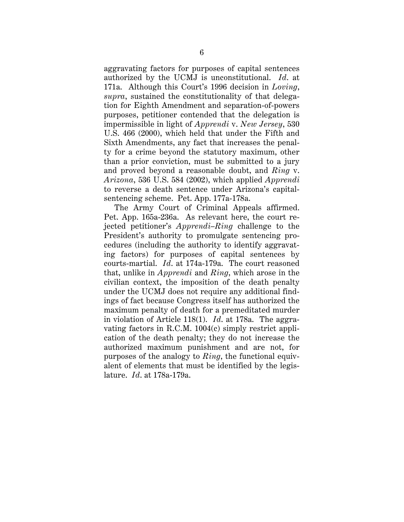aggravating factors for purposes of capital sentences authorized by the UCMJ is unconstitutional. *Id*. at 171a. Although this Court's 1996 decision in *Loving*, *supra*, sustained the constitutionality of that delegation for Eighth Amendment and separation-of-powers purposes, petitioner contended that the delegation is impermissible in light of *Apprendi* v. *New Jersey*, 530 U.S. 466 (2000), which held that under the Fifth and Sixth Amendments, any fact that increases the penalty for a crime beyond the statutory maximum, other than a prior conviction, must be submitted to a jury and proved beyond a reasonable doubt, and *Ring* v. *Arizona*, 536 U.S. 584 (2002), which applied *Apprendi* to reverse a death sentence under Arizona's capitalsentencing scheme. Pet. App. 177a-178a.

The Army Court of Criminal Appeals affirmed. Pet. App. 165a-236a. As relevant here, the court rejected petitioner's *Apprendi–Ring* challenge to the President's authority to promulgate sentencing procedures (including the authority to identify aggravating factors) for purposes of capital sentences by courts-martial. *Id*. at 174a-179a. The court reasoned that, unlike in *Apprendi* and *Ring*, which arose in the civilian context, the imposition of the death penalty under the UCMJ does not require any additional findings of fact because Congress itself has authorized the maximum penalty of death for a premeditated murder in violation of Article 118(1). *Id*. at 178a. The aggravating factors in R.C.M. 1004(c) simply restrict application of the death penalty; they do not increase the authorized maximum punishment and are not, for purposes of the analogy to *Ring*, the functional equivalent of elements that must be identified by the legislature. *Id*. at 178a-179a.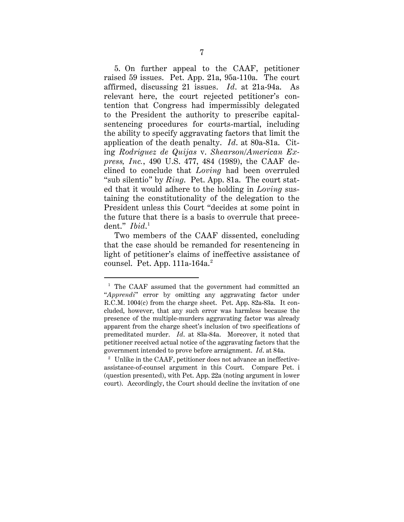5. On further appeal to the CAAF, petitioner raised 59 issues. Pet. App. 21a, 95a-110a. The court affirmed, discussing 21 issues. *Id*. at 21a-94a. As relevant here, the court rejected petitioner's contention that Congress had impermissibly delegated to the President the authority to prescribe capitalsentencing procedures for courts-martial, including the ability to specify aggravating factors that limit the application of the death penalty. *Id*. at 80a-81a. Citing *Rodriguez de Quijas* v. *Shearson/American Express, Inc.*, 490 U.S. 477, 484 (1989), the CAAF declined to conclude that *Loving* had been overruled "sub silentio" by *Ring*. Pet. App. 81a. The court stated that it would adhere to the holding in *Loving* sustaining the constitutionality of the delegation to the President unless this Court "decides at some point in the future that there is a basis to overrule that precedent." *Ibid*. 1

Two members of the CAAF dissented, concluding that the case should be remanded for resentencing in light of petitioner's claims of ineffective assistance of counsel. Pet. App.  $111a-164a$ <sup>2</sup>

<sup>&</sup>lt;sup>1</sup> The CAAF assumed that the government had committed an "*Apprendi*" error by omitting any aggravating factor under R.C.M. 1004(c) from the charge sheet. Pet. App. 82a-83a. It concluded, however, that any such error was harmless because the presence of the multiple-murders aggravating factor was already apparent from the charge sheet's inclusion of two specifications of premeditated murder. *Id*. at 83a-84a. Moreover, it noted that petitioner received actual notice of the aggravating factors that the government intended to prove before arraignment. *Id*. at 84a.

<sup>&</sup>lt;sup>2</sup> Unlike in the CAAF, petitioner does not advance an ineffectiveassistance-of-counsel argument in this Court. Compare Pet. i (question presented), with Pet. App. 22a (noting argument in lower court). Accordingly, the Court should decline the invitation of one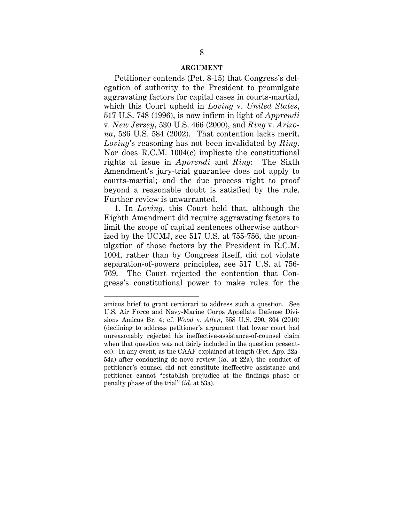### **ARGUMENT**

Petitioner contends (Pet. 8-15) that Congress's delegation of authority to the President to promulgate aggravating factors for capital cases in courts-martial, which this Court upheld in *Loving* v. *United States*, 517 U.S. 748 (1996), is now infirm in light of *Apprendi* v. *New Jersey*, 530 U.S. 466 (2000), and *Ring* v. *Arizona*, 536 U.S. 584 (2002). That contention lacks merit. *Loving*'s reasoning has not been invalidated by *Ring*. Nor does R.C.M. 1004(c) implicate the constitutional rights at issue in *Apprendi* and *Ring*: The Sixth Amendment's jury-trial guarantee does not apply to courts-martial; and the due process right to proof beyond a reasonable doubt is satisfied by the rule. Further review is unwarranted.

1. In *Loving*, this Court held that, although the Eighth Amendment did require aggravating factors to limit the scope of capital sentences otherwise authorized by the UCMJ, see 517 U.S. at 755-756, the promulgation of those factors by the President in R.C.M. 1004, rather than by Congress itself, did not violate separation-of-powers principles, see 517 U.S. at 756- 769. The Court rejected the contention that Congress's constitutional power to make rules for the

 $\ddot{\phantom{a}}$ 

amicus brief to grant certiorari to address such a question. See U.S. Air Force and Navy-Marine Corps Appellate Defense Divisions Amicus Br. 4; cf. *Wood* v. *Allen*, 558 U.S. 290, 304 (2010) (declining to address petitioner's argument that lower court had unreasonably rejected his ineffective-assistance-of-counsel claim when that question was not fairly included in the question presented). In any event, as the CAAF explained at length (Pet. App. 22a-54a) after conducting de-novo review (*id*. at 22a), the conduct of petitioner's counsel did not constitute ineffective assistance and petitioner cannot "establish prejudice at the findings phase or penalty phase of the trial" (*id*. at 53a).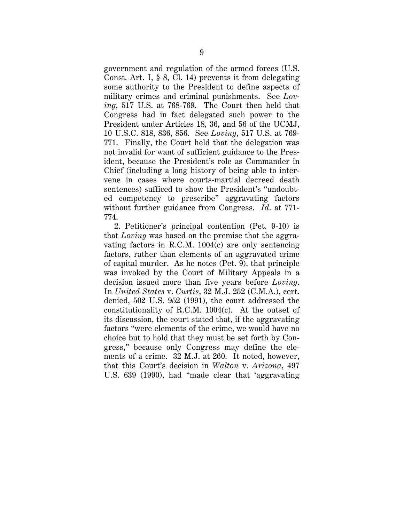government and regulation of the armed forces (U.S. Const. Art. I, § 8, Cl. 14) prevents it from delegating some authority to the President to define aspects of military crimes and criminal punishments. See *Loving*, 517 U.S. at 768-769. The Court then held that Congress had in fact delegated such power to the President under Articles 18, 36, and 56 of the UCMJ, 10 U.S.C. 818, 836, 856. See *Loving*, 517 U.S. at 769- 771. Finally, the Court held that the delegation was not invalid for want of sufficient guidance to the President, because the President's role as Commander in Chief (including a long history of being able to intervene in cases where courts-martial decreed death sentences) sufficed to show the President's "undoubted competency to prescribe" aggravating factors without further guidance from Congress. *Id*. at 771- 774.

2. Petitioner's principal contention (Pet. 9-10) is that *Loving* was based on the premise that the aggravating factors in R.C.M. 1004(c) are only sentencing factors, rather than elements of an aggravated crime of capital murder. As he notes (Pet. 9), that principle was invoked by the Court of Military Appeals in a decision issued more than five years before *Loving*. In *United States* v. *Curtis*, 32 M.J. 252 (C.M.A.), cert. denied, 502 U.S. 952 (1991), the court addressed the constitutionality of R.C.M. 1004(c). At the outset of its discussion, the court stated that, if the aggravating factors "were elements of the crime, we would have no choice but to hold that they must be set forth by Congress," because only Congress may define the elements of a crime. 32 M.J. at 260. It noted, however, that this Court's decision in *Walton* v. *Arizona*, 497 U.S. 639 (1990), had "made clear that 'aggravating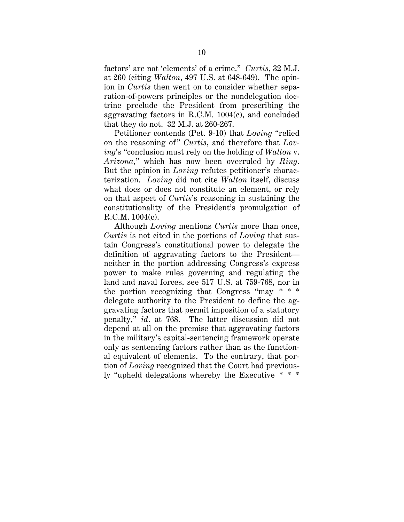factors' are not 'elements' of a crime." *Curtis*, 32 M.J. at 260 (citing *Walton*, 497 U.S. at 648-649). The opinion in *Curtis* then went on to consider whether separation-of-powers principles or the nondelegation doctrine preclude the President from prescribing the aggravating factors in R.C.M. 1004(c), and concluded that they do not. 32 M.J. at 260-267.

Petitioner contends (Pet. 9-10) that *Loving* "relied on the reasoning of" *Curtis*, and therefore that *Loving*'s "conclusion must rely on the holding of *Walton* v. *Arizona*," which has now been overruled by *Ring*. But the opinion in *Loving* refutes petitioner's characterization. *Loving* did not cite *Walton* itself, discuss what does or does not constitute an element, or rely on that aspect of *Curtis*'s reasoning in sustaining the constitutionality of the President's promulgation of R.C.M. 1004(c).

Although *Loving* mentions *Curtis* more than once, *Curtis* is not cited in the portions of *Loving* that sustain Congress's constitutional power to delegate the definition of aggravating factors to the President neither in the portion addressing Congress's express power to make rules governing and regulating the land and naval forces, see 517 U.S. at 759-768, nor in the portion recognizing that Congress "may \* \* \* delegate authority to the President to define the aggravating factors that permit imposition of a statutory penalty," *id*. at 768. The latter discussion did not depend at all on the premise that aggravating factors in the military's capital-sentencing framework operate only as sentencing factors rather than as the functional equivalent of elements. To the contrary, that portion of *Loving* recognized that the Court had previously "upheld delegations whereby the Executive \* \* \*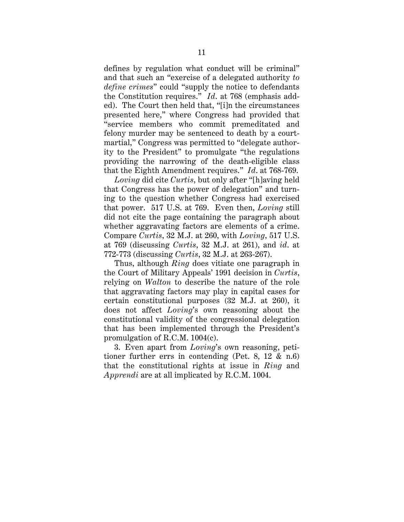defines by regulation what conduct will be criminal" and that such an "exercise of a delegated authority *to define crimes*" could "supply the notice to defendants the Constitution requires." *Id*. at 768 (emphasis added). The Court then held that, "[i]n the circumstances presented here," where Congress had provided that "service members who commit premeditated and felony murder may be sentenced to death by a courtmartial," Congress was permitted to "delegate authority to the President" to promulgate "the regulations providing the narrowing of the death-eligible class that the Eighth Amendment requires." *Id*. at 768-769.

*Loving* did cite *Curtis*, but only after "[h]aving held that Congress has the power of delegation" and turning to the question whether Congress had exercised that power. 517 U.S. at 769. Even then, *Loving* still did not cite the page containing the paragraph about whether aggravating factors are elements of a crime. Compare *Curtis*, 32 M.J. at 260, with *Loving*, 517 U.S. at 769 (discussing *Curtis*, 32 M.J. at 261), and *id*. at 772-773 (discussing *Curtis*, 32 M.J. at 263-267).

Thus, although *Ring* does vitiate one paragraph in the Court of Military Appeals' 1991 decision in *Curtis*, relying on *Walton* to describe the nature of the role that aggravating factors may play in capital cases for certain constitutional purposes (32 M.J. at 260), it does not affect *Loving*'s own reasoning about the constitutional validity of the congressional delegation that has been implemented through the President's promulgation of R.C.M. 1004(c).

3. Even apart from *Loving*'s own reasoning, petitioner further errs in contending (Pet. 8, 12 & n.6) that the constitutional rights at issue in *Ring* and *Apprendi* are at all implicated by R.C.M. 1004.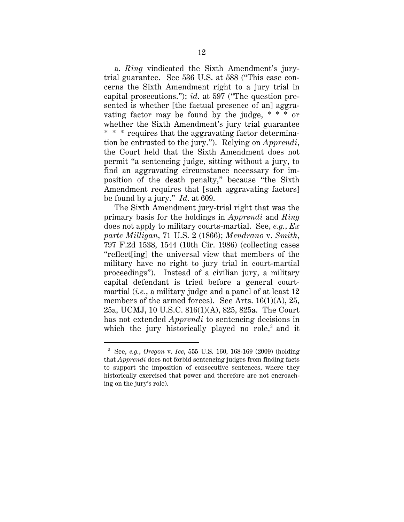a. *Ring* vindicated the Sixth Amendment's jurytrial guarantee. See 536 U.S. at 588 ("This case concerns the Sixth Amendment right to a jury trial in capital prosecutions."); *id*. at 597 ("The question presented is whether [the factual presence of an] aggravating factor may be found by the judge, \* \* \* or whether the Sixth Amendment's jury trial guarantee \* \* \* requires that the aggravating factor determination be entrusted to the jury."). Relying on *Apprendi*, the Court held that the Sixth Amendment does not permit "a sentencing judge, sitting without a jury, to find an aggravating circumstance necessary for imposition of the death penalty," because "the Sixth Amendment requires that [such aggravating factors] be found by a jury." *Id*. at 609.

The Sixth Amendment jury-trial right that was the primary basis for the holdings in *Apprendi* and *Ring* does not apply to military courts-martial. See, *e.g.*, *Ex parte Milligan*, 71 U.S. 2 (1866); *Mendrano* v. *Smith*, 797 F.2d 1538, 1544 (10th Cir. 1986) (collecting cases "reflect[ing] the universal view that members of the military have no right to jury trial in court-martial proceedings"). Instead of a civilian jury, a military capital defendant is tried before a general courtmartial (*i.e.*, a military judge and a panel of at least 12 members of the armed forces). See Arts.  $16(1)(A)$ ,  $25$ , 25a, UCMJ, 10 U.S.C. 816(1)(A), 825, 825a. The Court has not extended *Apprendi* to sentencing decisions in which the jury historically played no role,<sup>3</sup> and it

 <sup>3</sup> See, *e.g.*, *Oregon* v. *Ice*, 555 U.S. 160, 168-169 (2009) (holding that *Apprendi* does not forbid sentencing judges from finding facts to support the imposition of consecutive sentences, where they historically exercised that power and therefore are not encroaching on the jury's role).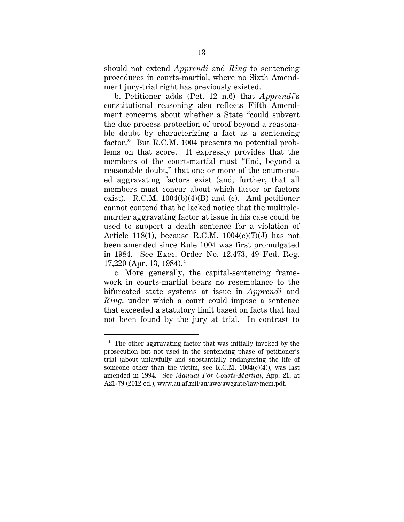should not extend *Apprendi* and *Ring* to sentencing procedures in courts-martial, where no Sixth Amendment jury-trial right has previously existed.

b. Petitioner adds (Pet. 12 n.6) that *Apprendi*'s constitutional reasoning also reflects Fifth Amendment concerns about whether a State "could subvert the due process protection of proof beyond a reasonable doubt by characterizing a fact as a sentencing factor." But R.C.M. 1004 presents no potential problems on that score. It expressly provides that the members of the court-martial must "find, beyond a reasonable doubt," that one or more of the enumerated aggravating factors exist (and, further, that all members must concur about which factor or factors exist). R.C.M.  $1004(b)(4)(B)$  and (c). And petitioner cannot contend that he lacked notice that the multiplemurder aggravating factor at issue in his case could be used to support a death sentence for a violation of Article 118(1), because R.C.M.  $1004(c)(7)(J)$  has not been amended since Rule 1004 was first promulgated in 1984. See Exec. Order No. 12,473, 49 Fed. Reg.  $17,220$  (Apr. 13, 1984).<sup>4</sup>

c. More generally, the capital-sentencing framework in courts-martial bears no resemblance to the bifurcated state systems at issue in *Apprendi* and *Ring*, under which a court could impose a sentence that exceeded a statutory limit based on facts that had not been found by the jury at trial. In contrast to

 <sup>4</sup> The other aggravating factor that was initially invoked by the prosecution but not used in the sentencing phase of petitioner's trial (about unlawfully and substantially endangering the life of someone other than the victim, see R.C.M.  $1004(c)(4)$ , was last amended in 1994. See *Manual For Courts-Martial*, App. 21, at A21-79 (2012 ed.), www.au.af.mil/au/awc/awcgate/law/mcm.pdf.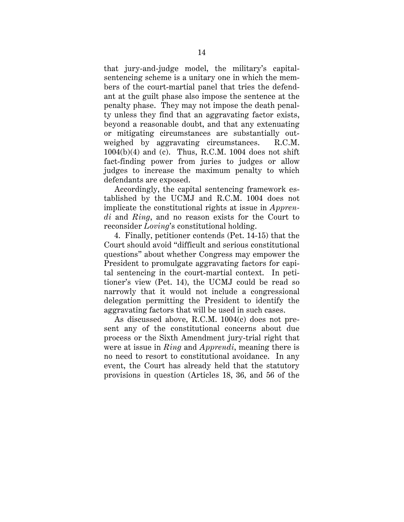that jury-and-judge model, the military's capitalsentencing scheme is a unitary one in which the members of the court-martial panel that tries the defendant at the guilt phase also impose the sentence at the penalty phase. They may not impose the death penalty unless they find that an aggravating factor exists, beyond a reasonable doubt, and that any extenuating or mitigating circumstances are substantially outweighed by aggravating circumstances. R.C.M.  $1004(b)(4)$  and (c). Thus, R.C.M. 1004 does not shift fact-finding power from juries to judges or allow judges to increase the maximum penalty to which defendants are exposed.

Accordingly, the capital sentencing framework established by the UCMJ and R.C.M. 1004 does not implicate the constitutional rights at issue in *Apprendi* and *Ring*, and no reason exists for the Court to reconsider *Loving*'s constitutional holding.

4. Finally, petitioner contends (Pet. 14-15) that the Court should avoid "difficult and serious constitutional questions" about whether Congress may empower the President to promulgate aggravating factors for capital sentencing in the court-martial context. In petitioner's view (Pet. 14), the UCMJ could be read so narrowly that it would not include a congressional delegation permitting the President to identify the aggravating factors that will be used in such cases.

As discussed above, R.C.M. 1004(c) does not present any of the constitutional concerns about due process or the Sixth Amendment jury-trial right that were at issue in *Ring* and *Apprendi*, meaning there is no need to resort to constitutional avoidance. In any event, the Court has already held that the statutory provisions in question (Articles 18, 36, and 56 of the